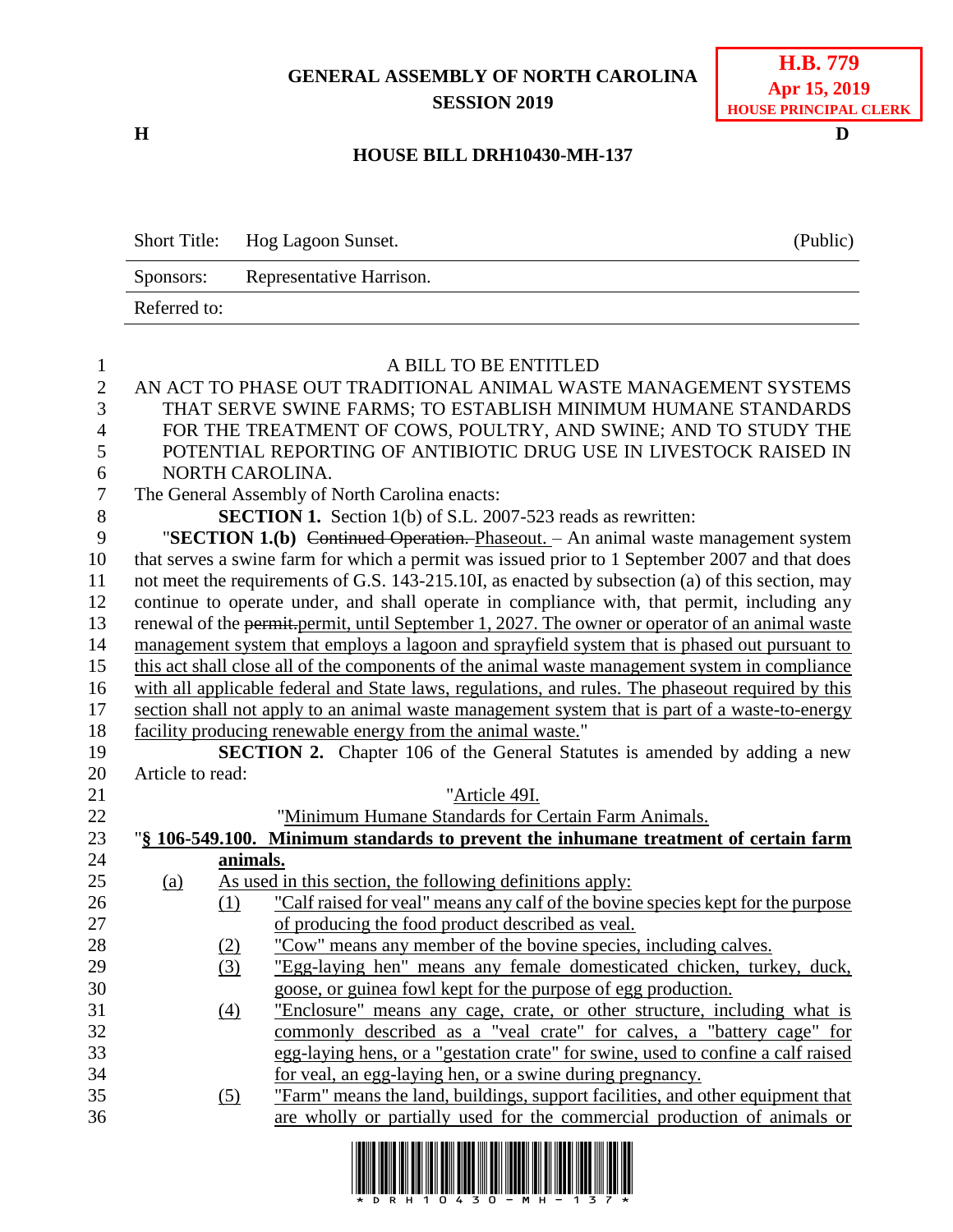## **GENERAL ASSEMBLY OF NORTH CAROLINA SESSION 2019**

**H D**

| H.B. 779                     |
|------------------------------|
| Apr 15, 2019                 |
| <b>HOUSE PRINCIPAL CLERK</b> |

## **HOUSE BILL DRH10430-MH-137**

|              | Short Title: Hog Lagoon Sunset. | (Public) |
|--------------|---------------------------------|----------|
| Sponsors:    | Representative Harrison.        |          |
| Referred to: |                                 |          |

| $\mathbf{1}$   | A BILL TO BE ENTITLED                                                                             |          |                                                                                                                                                   |  |  |
|----------------|---------------------------------------------------------------------------------------------------|----------|---------------------------------------------------------------------------------------------------------------------------------------------------|--|--|
| $\mathbf{2}$   | AN ACT TO PHASE OUT TRADITIONAL ANIMAL WASTE MANAGEMENT SYSTEMS                                   |          |                                                                                                                                                   |  |  |
| 3              | THAT SERVE SWINE FARMS; TO ESTABLISH MINIMUM HUMANE STANDARDS                                     |          |                                                                                                                                                   |  |  |
| $\overline{4}$ | FOR THE TREATMENT OF COWS, POULTRY, AND SWINE; AND TO STUDY THE                                   |          |                                                                                                                                                   |  |  |
| 5              |                                                                                                   |          | POTENTIAL REPORTING OF ANTIBIOTIC DRUG USE IN LIVESTOCK RAISED IN                                                                                 |  |  |
| 6              |                                                                                                   |          | NORTH CAROLINA.                                                                                                                                   |  |  |
| $\overline{7}$ |                                                                                                   |          | The General Assembly of North Carolina enacts:                                                                                                    |  |  |
| $8\,$          |                                                                                                   |          | <b>SECTION 1.</b> Section 1(b) of S.L. 2007-523 reads as rewritten:                                                                               |  |  |
| 9              |                                                                                                   |          | "SECTION 1.(b) Continued Operation. Phaseout. - An animal waste management system                                                                 |  |  |
| 10             |                                                                                                   |          | that serves a swine farm for which a permit was issued prior to 1 September 2007 and that does                                                    |  |  |
| 11             |                                                                                                   |          | not meet the requirements of G.S. 143-215.10I, as enacted by subsection (a) of this section, may                                                  |  |  |
| 12             |                                                                                                   |          | continue to operate under, and shall operate in compliance with, that permit, including any                                                       |  |  |
| 13             |                                                                                                   |          | renewal of the permit-permit, until September 1, 2027. The owner or operator of an animal waste                                                   |  |  |
| 14             |                                                                                                   |          | management system that employs a lagoon and sprayfield system that is phased out pursuant to                                                      |  |  |
| 15             |                                                                                                   |          | this act shall close all of the components of the animal waste management system in compliance                                                    |  |  |
| 16             | with all applicable federal and State laws, regulations, and rules. The phaseout required by this |          |                                                                                                                                                   |  |  |
| 17             |                                                                                                   |          | section shall not apply to an animal waste management system that is part of a waste-to-energy                                                    |  |  |
| 18             |                                                                                                   |          | facility producing renewable energy from the animal waste."                                                                                       |  |  |
| 19             |                                                                                                   |          | SECTION 2. Chapter 106 of the General Statutes is amended by adding a new                                                                         |  |  |
| 20             | Article to read:                                                                                  |          |                                                                                                                                                   |  |  |
| 21             |                                                                                                   |          | "Article 49I.                                                                                                                                     |  |  |
| 22             |                                                                                                   |          | "Minimum Humane Standards for Certain Farm Animals.                                                                                               |  |  |
| 23             |                                                                                                   |          | "§ 106-549.100. Minimum standards to prevent the inhumane treatment of certain farm                                                               |  |  |
| 24             |                                                                                                   | animals. |                                                                                                                                                   |  |  |
| 25             | (a)                                                                                               |          | As used in this section, the following definitions apply:                                                                                         |  |  |
| 26             |                                                                                                   | (1)      | "Calf raised for yeal" means any calf of the bovine species kept for the purpose                                                                  |  |  |
| 27             |                                                                                                   |          | of producing the food product described as veal.                                                                                                  |  |  |
| 28<br>29       |                                                                                                   | (2)      | "Cow" means any member of the bovine species, including calves.                                                                                   |  |  |
| 30             |                                                                                                   | (3)      | "Egg-laying hen" means any female domesticated chicken, turkey, duck,                                                                             |  |  |
| 31             |                                                                                                   |          | goose, or guinea fowl kept for the purpose of egg production.                                                                                     |  |  |
| 32             |                                                                                                   | (4)      | "Enclosure" means any cage, crate, or other structure, including what is<br>commonly described as a "veal crate" for calves, a "battery cage" for |  |  |
| 33             |                                                                                                   |          | egg-laying hens, or a "gestation crate" for swine, used to confine a calf raised                                                                  |  |  |
| 34             |                                                                                                   |          | for veal, an egg-laying hen, or a swine during pregnancy.                                                                                         |  |  |
| 35             |                                                                                                   | (5)      | "Farm" means the land, buildings, support facilities, and other equipment that                                                                    |  |  |
| 36             |                                                                                                   |          | are wholly or partially used for the commercial production of animals or                                                                          |  |  |
|                |                                                                                                   |          |                                                                                                                                                   |  |  |

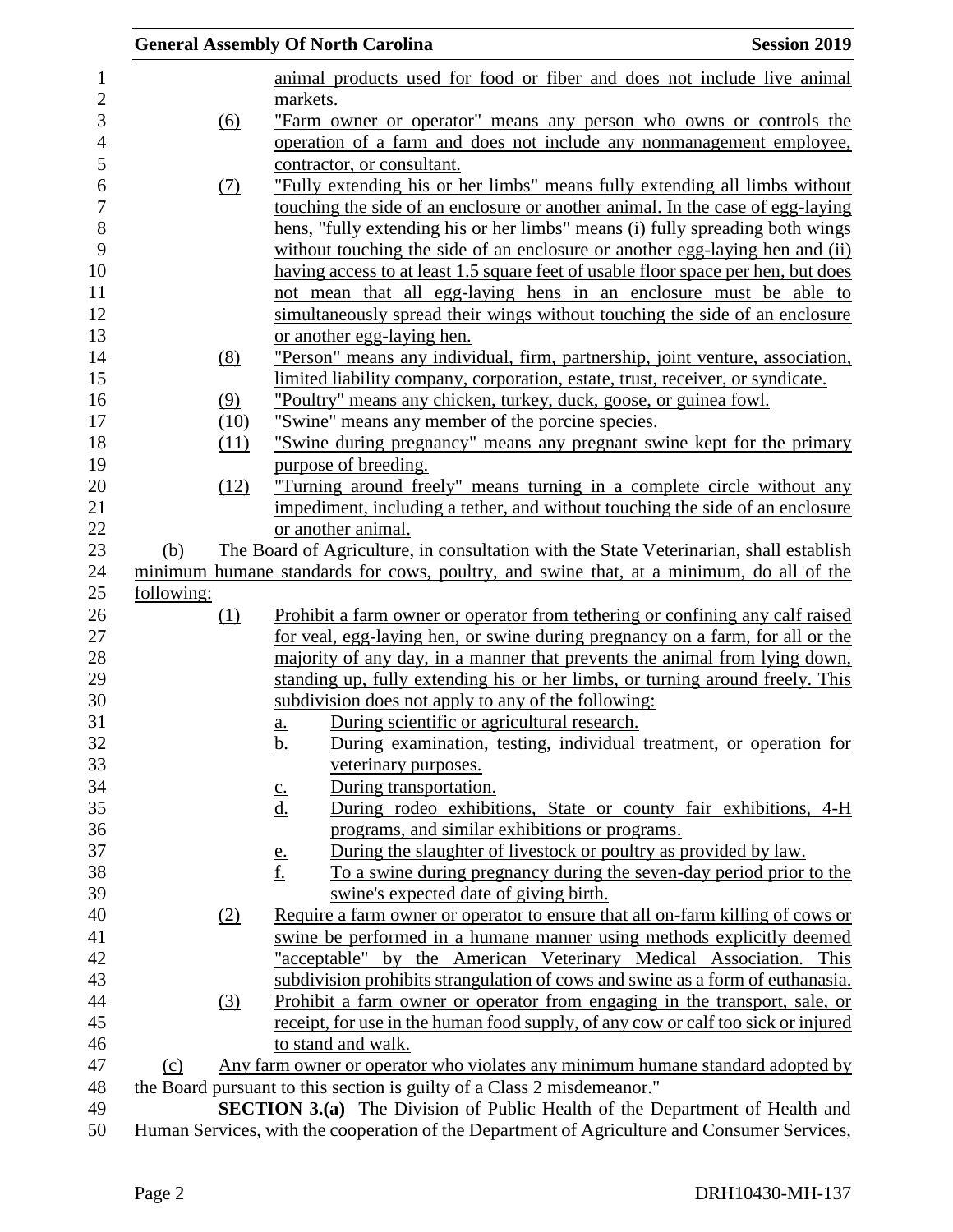|            |            | <b>General Assembly Of North Carolina</b><br><b>Session 2019</b>                              |  |
|------------|------------|-----------------------------------------------------------------------------------------------|--|
|            |            | animal products used for food or fiber and does not include live animal                       |  |
|            |            | markets.                                                                                      |  |
|            | (6)        | "Farm owner or operator" means any person who owns or controls the                            |  |
|            |            | operation of a farm and does not include any nonmanagement employee,                          |  |
|            |            | contractor, or consultant.                                                                    |  |
|            | <u>(7)</u> | "Fully extending his or her limbs" means fully extending all limbs without                    |  |
|            |            | touching the side of an enclosure or another animal. In the case of egg-laying                |  |
|            |            | hens, "fully extending his or her limbs" means (i) fully spreading both wings                 |  |
|            |            | without touching the side of an enclosure or another egg-laying hen and (ii)                  |  |
|            |            | having access to at least 1.5 square feet of usable floor space per hen, but does             |  |
|            |            | not mean that all egg-laying hens in an enclosure must be able to                             |  |
|            |            | simultaneously spread their wings without touching the side of an enclosure                   |  |
|            |            | or another egg-laying hen.                                                                    |  |
|            | (8)        | "Person" means any individual, firm, partnership, joint venture, association,                 |  |
|            |            | limited liability company, corporation, estate, trust, receiver, or syndicate.                |  |
|            | (9)        | "Poultry" means any chicken, turkey, duck, goose, or guinea fowl.                             |  |
|            | (10)       | "Swine" means any member of the porcine species.                                              |  |
|            | (11)       | "Swine during pregnancy" means any pregnant swine kept for the primary                        |  |
|            |            | purpose of breeding.                                                                          |  |
|            | (12)       | "Turning around freely" means turning in a complete circle without any                        |  |
|            |            | impediment, including a tether, and without touching the side of an enclosure                 |  |
|            |            | or another animal.                                                                            |  |
| (b)        |            | The Board of Agriculture, in consultation with the State Veterinarian, shall establish        |  |
|            |            | minimum humane standards for cows, poultry, and swine that, at a minimum, do all of the       |  |
| following: |            |                                                                                               |  |
|            | <u>(1)</u> | Prohibit a farm owner or operator from tethering or confining any calf raised                 |  |
|            |            | for veal, egg-laying hen, or swine during pregnancy on a farm, for all or the                 |  |
|            |            | majority of any day, in a manner that prevents the animal from lying down,                    |  |
|            |            | standing up, fully extending his or her limbs, or turning around freely. This                 |  |
|            |            | subdivision does not apply to any of the following:                                           |  |
|            |            | During scientific or agricultural research.<br>$\underline{\mathbf{a}}$ .                     |  |
|            |            | During examination, testing, individual treatment, or operation for<br><u>b.</u>              |  |
|            |            | veterinary purposes.                                                                          |  |
|            |            | During transportation.<br>$\underline{\underline{c}}$ .                                       |  |
|            |            | $\underline{\mathrm{d}}$ .<br>During rodeo exhibitions, State or county fair exhibitions, 4-H |  |
|            |            | programs, and similar exhibitions or programs.                                                |  |
|            |            | During the slaughter of livestock or poultry as provided by law.<br>$\frac{e}{f}$ .           |  |
|            |            | To a swine during pregnancy during the seven-day period prior to the                          |  |
|            |            | swine's expected date of giving birth.                                                        |  |
|            | (2)        | Require a farm owner or operator to ensure that all on-farm killing of cows or                |  |
|            |            | swine be performed in a humane manner using methods explicitly deemed                         |  |
|            |            | "acceptable" by the American Veterinary Medical Association. This                             |  |
|            |            | subdivision prohibits strangulation of cows and swine as a form of euthanasia.                |  |
|            | (3)        | Prohibit a farm owner or operator from engaging in the transport, sale, or                    |  |
|            |            | receipt, for use in the human food supply, of any cow or calf too sick or injured             |  |
|            |            | to stand and walk.                                                                            |  |
| (c)        |            | Any farm owner or operator who violates any minimum humane standard adopted by                |  |
|            |            | the Board pursuant to this section is guilty of a Class 2 misdemeanor."                       |  |
|            |            | <b>SECTION 3.(a)</b> The Division of Public Health of the Department of Health and            |  |

Human Services, with the cooperation of the Department of Agriculture and Consumer Services,